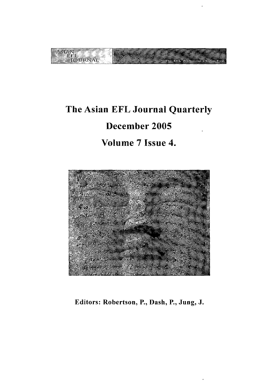

# The Asian EFL Journal Quarterly December 2005 Volume 7 Issue 4.



Editors: Robertson, P., Dash, P., Jung, J.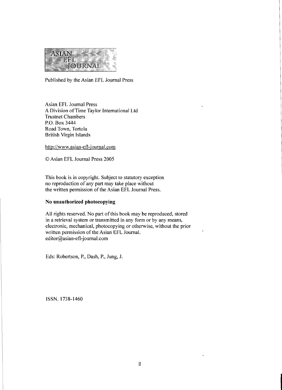

Published by the Asian EFL Journal Press

Asian EFL Journal Press A Division ofTime Taylor International Ltd Trustnet Chambers P.O. Box 3444 Road Town, Tortola British Virgin Islands

http://www.asian-efl-journaJ.com

© Asian EFL Journal Press 2005

This book is in copyright. Subject to statutory exception no reproduction of any part may take place without the written permission of the Asian EFL Journal Press.

## No **unauthorized photocopying**

All rights reserved. No part of this book may be reproduced, stored in a retrieval system or transmitted in any form or by any means, electronic, mechanical, photocopying or otherwise, without the prior written permission of the Asian EFL Journal. editor@asian-efl-journal.com

Eds: Robertson, P., Dash, P., Jung, J.

ISSN.1738-1460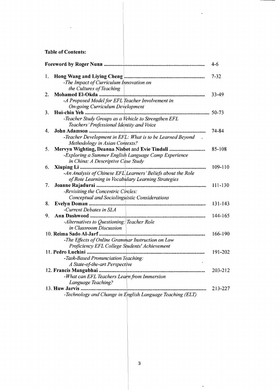# Table of Contents:

 $\sim$   $\sim$ 

|    | <b>Foreword by Roger Nunn </b>                                  | 4-6       |
|----|-----------------------------------------------------------------|-----------|
| l. |                                                                 | $7 - 32$  |
|    | -The Impact of Curriculum Innovation on                         |           |
|    | the Cultures of Teaching                                        |           |
| 2. |                                                                 | 33-49     |
|    | -A Proposed Model for EFL Teacher Involvement in                |           |
|    | <b>On-going Curriculum Development</b>                          |           |
| 3. |                                                                 | $50 - 73$ |
|    | -Teacher Study Groups as a Vehicle to Strengthen EFL            |           |
|    | Teachers' Professional Identity and Voice                       |           |
| 4. |                                                                 | 74-84     |
|    | -Teacher Development in EFL: What is to be Learned Beyond       |           |
|    | Methodology in Asian Contexts?                                  |           |
| 5. | Mervyn Wighting, Deanna Nisbet and Evie Tindall                 | 85-108    |
|    | -Exploring a Summer English Language Camp Experience            |           |
|    | in China: A Descriptive Case Study                              |           |
| 6. |                                                                 | 109-110   |
|    | -An Analysis of Chinese $EFL $ Learners' Beliefs about the Role |           |
|    | of Rote Learning in Vocabulary Learning Strategies              |           |
| 7. |                                                                 | 111-130   |
|    | -Revisiting the Concentric Circles:                             |           |
|    | Conceptual and Sociolinguistic Considerations                   |           |
| 8. | Evelyn Doman                                                    | 131-143   |
|    | -Current Debates in SLA                                         |           |
| 9. | Ann Dashwood                                                    | 144-165   |
|    | -Alternatives to Questioning: Teacher Role                      |           |
|    | in Classroom Discussion                                         |           |
|    | 10. Reima Sado Al-Jarf                                          | 166-190   |
|    | -The Effects of Online Grammar Instruction on Low               |           |
|    | Proficiency EFL College Students' Achievement                   |           |
|    | 11. Pedro Luchini                                               | 191-202   |
|    | -Task-Based Pronunciation Teaching:                             |           |
|    | A State-of-the-art Perspective                                  |           |
|    |                                                                 | 203-212   |
|    | -What can EFL Teachers Learn from Immersion                     |           |
|    | Language Teaching?                                              |           |
|    | 13. Huw Jarvis                                                  | 213-227   |
|    | -Technology and Change in English Language Teaching (ELT)       |           |

 $\ddot{\phantom{0}}$ 

 $\bar{\star}$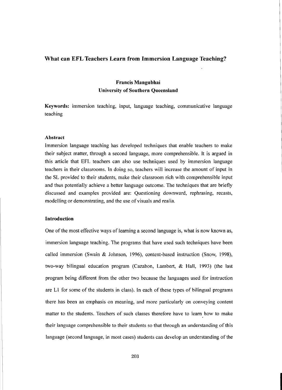## What can EFL Teachers Learn from Immersion Language Teaching?

# Francis Mangubhai University of Southern Queensland

Keywords: immersion teaching, input, language teaching, communicative language teaching

## Abstract

Immersion language teaching has developed techniques that enable teachers to make their subject matter, through a second language, more comprehensible. It is argued in this article that EFL teachers can also use techniques used by immersion language teachers in their classrooms. In doing so, teachers will increase the amount of input in the SL provided to their students, make their classroom rich with comprehensible input and thus potentially achieve a better language outcome. The techniques that are briefly discussed and examples provided are: Questioning downward, rephrasing, recasts, modelling or demonstrating, and the use of visuals and realia.

#### Introduction

One of the most effective ways of learning a second language is, what is now known as, immersion language teaching. The programs that have used such techniques have been called immersion (Swain & Johnson, 1996), content-based instruction (Snow, 1998), two-way bilingual education program (Cazabon, Lambert, & Hall, 1993) (the last program being different from the other two because the languages used for instruction are  $L1$  for some of the students in class). In each of these types of bilingual programs there has been an emphasis on meaning, and more particularly on conveying content matter to the students. Teachers of such classes therefore have to learn how to make their language comprehensible to their students so that through an understanding of this language (second language, in most cases) students can develop an understanding of the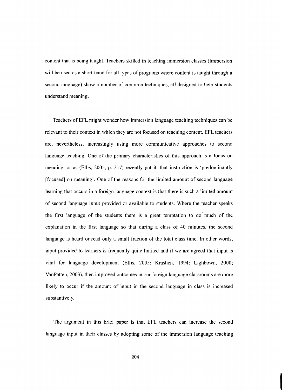content that is being taught. Teachers skilled in teaching immersion classes (immersion will be used as a short-hand for all types of programs where content is taught through a second language) show a number of common techniques, all designed to help students understand meaning.

Teachers ofEFL might wonder how immersion language teaching techniques can be relevant to their context in which they are not focused on teaching content. EFL teachers are, nevertheless, increasingly using more communicative approaches to second language teaching. One of the primary characteristics of this approach is a focus on meaning, or as (Ellis, 2005, p. 217) recently put it, that instruction is 'predominantly [focused] on meaning'. One of the reasons for the limited amount of second language learning that occurs in a foreign language context is that there is such a limited amount of second language input provided or available to students. Where the teacher speaks the first language of the students there is a great temptation to do' much of the explanation in the first language so that during a class of 40 minutes, the second language is heard or read only a small fraction of the total class time. In other words, input provided to learners is frequently quite limited and if we are agreed that input is vital for language development (Ellis, 2005; Krashen, 1994; Lighbown, 2000; VanPatten, 2003), then improved outcomes in our foreign language classrooms are more likely to occur if the amount of input in the second language in class is increased substantively.

The argument in this brief paper is that EFL teachers can increase the second language input in their classes by adopting some of the immersion language teaching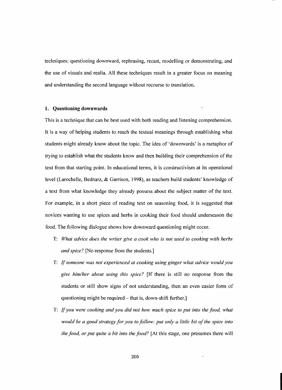techniques: questioning downward, rephrasing, recast, modelling or demonstrating, and the use of visuals and realia. All these techniques result in a greater focus on meaning and understanding the second language without recourse to translation.

## **1. Questioning downwards**

This is a technique that can be best used with both reading and listening comprehension. It is a way of helping students to reach the textual meanings through establishing what students might already know about the topic. The idea of 'downwards' is a metaphor of trying to establish what the students know and then building their comprehension of the text from that starting point. In educational terms, it is constructivism at its operational level (Larochelle, Bednarz, & Garrison, 1998), as teachers build students' knowledge of a text from what knowledge they already possess about the subject matter of the text. For example, in a short piece of reading text on seasoning food, it is suggested that novices wanting to use spices and herbs in cooking their food should underseason the food. The following dialogue shows how downward questioning might occur.

- T: *What advice does the writer give a cook who is not used to cooking with herbs and spice?* [No response from the students.]
- T: If*someone was not experienced at cooking using ginger what advice would you give him/her about using this spice?* [If there is still no response from the students or still show signs of not understanding, then an even easier form of questioning might be required – that is, down-shift further.
- T: If*you were cooking and you did not how much spice to put into the food, what would be a good strategy for you to follow: put only a little bit ofthe spice into the food, or put quite a bit into the food?* [At this stage, one presumes there will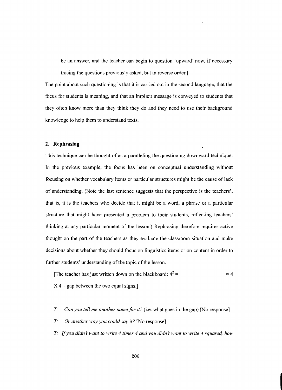be an answer, and the teacher can begin to question 'upward' now, if necessary tracing the questions previously asked, but in reverse order.]

The point about such questioning is that it is carried out in the second language, that the focus for students is meaning, and that an implicit message is conveyed to students that they often know more than they think they do and they need to use their background knowledge to help them to understand texts.

#### **2. Rephrasing**

This technique can be thought of as a paralleling the questioning downward technique. In the previous example, the focus has been on conceptual understanding without focusing on whether vocabulary items or particular structures might be the cause of lack of understanding. (Note the last sentence suggests that the perspective is the teachers', that is, it is the teachers who decide that it might be a word, a phrase or a particular structure that might have presented a problem to their students, reflecting teachers' thinking at any particular moment of the lesson.) Rephrasing therefore requires active thought on the part of the teachers as they evaluate the classroom situation and make decisions about whether they should focus on linguistics items or on content in order to further students' understanding of the topic of the lesson.

[The teacher has just written down on the blackboard:  $4^2 = 4$ 

- $X$  4 gap between the two equal signs.]
- *T: Can you tell me another name for it?* (Le. what goes in the gap) [No response]
- r" *Or another way you could say it?* [No response]
- r" If*you didn want to write* <sup>4</sup> *times* <sup>4</sup> *and you didn want to write* <sup>4</sup> *squared, how*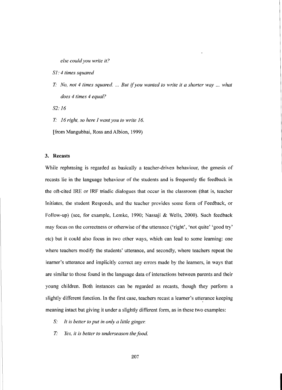*else could you write it?*

*S1:* 4 *times squared*

r· *No, not* 4 *times squared.* ... *But* if*you wanted to write it a shorter way ... what does* 4 *times* 4 *equal?*

*S2: 16*

r· 16 *right, so here I want you to write 16.*

[from Mangubhai, Ross and Albion, 1999)

#### 3. Recasts

While rephrasing is regarded as basically a teacher-driven behaviour, the genesis of recasts lie in the language behaviour of the students and is frequently the feedback in the oft-cited IRE or IRF triadic dialogues that occur in the classroom (that is, teacher Initiates, the student Responds, and the teacher provides some form of Feedback, or Follow-up) (see, for example, Lemke, 1990; Nassaji & Wells, 2000). Such feedback may focus on the correctness or otherwise of the utterance ('right', 'not quite' 'good try' etc) but it could also focus in two other ways, which can lead to some learning: one where teachers modify the students' utterance, and secondly, where teachers repeat the learner's utterance and implicitly correct any errors made by the learners, in ways that are similar to those found in the language data of interactions between parents and their young children. Both instances can be regarded as recasts, though they perform a slightly different function. In the first case, teachers recast a learner's utterance keeping meaning intact but giving it under a slightly different form, as in these two examples:

- S: *It is better to put in only a little ginger.*
- *T: Yes, it is better to underseason the food.*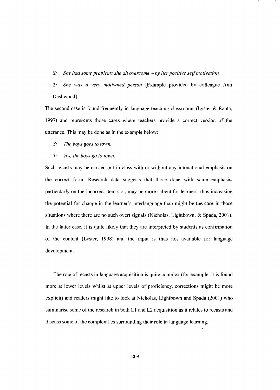S: *She had some problems she ah overcome* - *by her positive selfmotivation*

*T: She was a very motivated person* [Example provided by colleague Ann Dashwood]

The second case is found frequently in language teaching classrooms (Lyster  $\&$  Ranta, ]997) and represents those cases where teachers provide a correct version of the utterance. This may be done as in the example below:

S: *The boys goes to town.*

## *T: Yes, the boys go to town.*

Such recasts may be carried out in class with or without any intonational emphasis on the correct form. Research data suggests that those done with some emphasis, particularly on the incorrect item slot, may be more salient for learners, thus increasing the potential for change in the learner's interlanguage than might be the case in those situations where there are no such overt signals (Nicholas, Lightbown, & Spada, 200]). In the latter case, it is quite likely that they are interpreted by students as confirmation of the content (Lyster, 1998) and the input is thus not available for language development.

The role of recasts in language acquisition is quite complex (for example, it is found more at lower levels whilst at upper levels of proficiency, corrections might be more explicit) and readers might like to look at Nicholas, Lightbown and Spada (200]) who summarise some of the research in both  $L1$  and  $L2$  acquisition as it relates to recasts and discuss some of the complexities surrounding their role in language learning.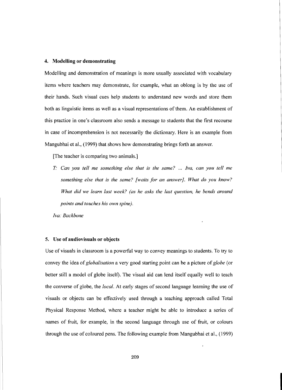#### 4. Modelling or demonstrating

Modelling and demonstration of meanings is more usually associated with vocabulary items where teachers may demonstrate, for example, what an oblong is by the use of their hands. Such visual cues help students to understand new words and store them both as linguistic items as well as a visual representations of them. An establishment of this practice in one's classroom also sends a message to students that the first recourse in case of incomprehension is not necessarily the dictionary. Here is an example from Mangubhai et aI., (1999) that shows how demonstrating brings forth an answer.

[The teacher is comparing two animals.]

*T: Can you tell me something else that is the same?* ... *Iva, can you tell me something else that is the same? [waits for an answer). What do you know? What did we learn last week? (as he asks the last question, he bends around points and touches his own spine).*

*Iva: Backbone*

#### 5. Use of audiovisuals or objects

Use of visuals in classroom is a powerful way to convey meanings to students. To try to convey the idea of*globalisation* a very good starting point can be a picture of *globe* (or better still a model of globe itself). The visual aid can lend itself equally well to teach the converse of globe, the *local.* At early stages of second language learning the use of visuals or objects can be effectively used through a teaching approach called Total Physical Response Method, where a teacher might be able to introduce a series of names of fruit, for example, in the second language through use of fruit, or colours through the use of coloured pens. The following example from Mangubhai et al., (1999)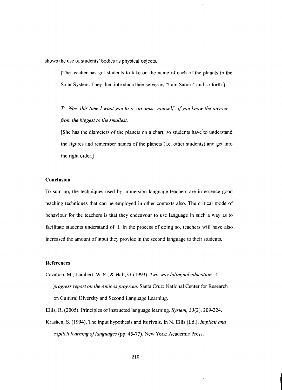shows the use of students' bodies as physical objects.

[The teacher has got students to take on the name of each of the planets in the Solar System. They then introduce themselves as "I am Saturn" and so forth.]

*T: Now this time <sup>I</sup> want you to re-organise yourself*-if*you know the answer from the biggest to the smallest.*

[She has the diameters of the planets on a chart, so students have to understand the figures and remember names of the planets (i.e. other students) and get into the right order.]

## **Conclusion**

To sum up, the techniques used by immersion language teachers are in essence good teaching techniques that can be employed in other contexts also. The critical mode of behaviour for the teachers is that they endeavour to use language in such a way as to facilitate students understand of it. In the process of doing so, teachers will have also increased the amount of input they provide in the second language to their students.

### References

Cazabon, M., Lambert, W. E., & Hall, G. (1993). *TIvo-way bilingual education: A progress report on the Amigos program.* Santa Cruz: National Center for Research on Cultural Diversity and Second Language Learning.

Ellis, R. (2005). Principles of instructed language learning. *System*, 33(2), 209-224.

Krashen, S. (1994). The input hypothesis and its rivals. In N. Ellis (Ed.), *Implicit and explicit learning of languages* (pp. 45-77). New York: Academic Press.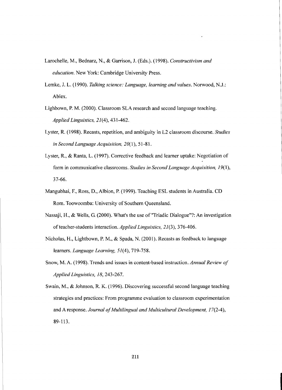- Larochelle, M., Bednarz, N., & Garrison, J. (Eds.). (1998). *Constructivism and education.* New York: Cambridge University Press.
- Lemke, J. L. (1990). *Talking science: Language, learning and values.* Norwood, N.J.: Ablex.
- Lighbown, P. M. (2000). Classroom SLA research and second language teaching. *Applied Linguistics,* 21(4),431-462.
- Lyster, R (1998). Recasts, repetition, and ambiguity in L2 classroom discourse. *Studies in Second Language Acquisition, 20(1), 51-81.*
- Lyster, R, & Ranta, L. (1997). Corrective feedback and learner uptake: Negotiation of form in communicative classrooms. *Studies in Second Language Acquisition,* 19(1), 37-66.
- Mangubhai, F., Ross, D., Albion, P. (1999). Teaching ESL students in Australia. CD Rom. Toowoomba: University of Southern Queensland.
- Nassaji, H., & Wells, G. (2000). What's the use of "Triadic Dialogue"?: An investigation of teacher-students interaction. *Applied Linguistics*, 21(3), 376-406.
- Nicholas, H., Lightbown, P. M., & Spada, N. (2001). Recasts as feedback to language learners. *Language Learning*, 51(4), 719-758.
- Snow, M. A. (1998). Trends and issues in content-based instruction. *Annual Review of Applied Linguistics,* 18,243-267.
- Swain, M., & Johnson, R. K. (1996). Discovering successful second language teaching strategies and practices: From programme evaluation to classroom experimentation and A response. *Journal ofMultilingual and Multicultural Development,* 17(2-4), 89-113.